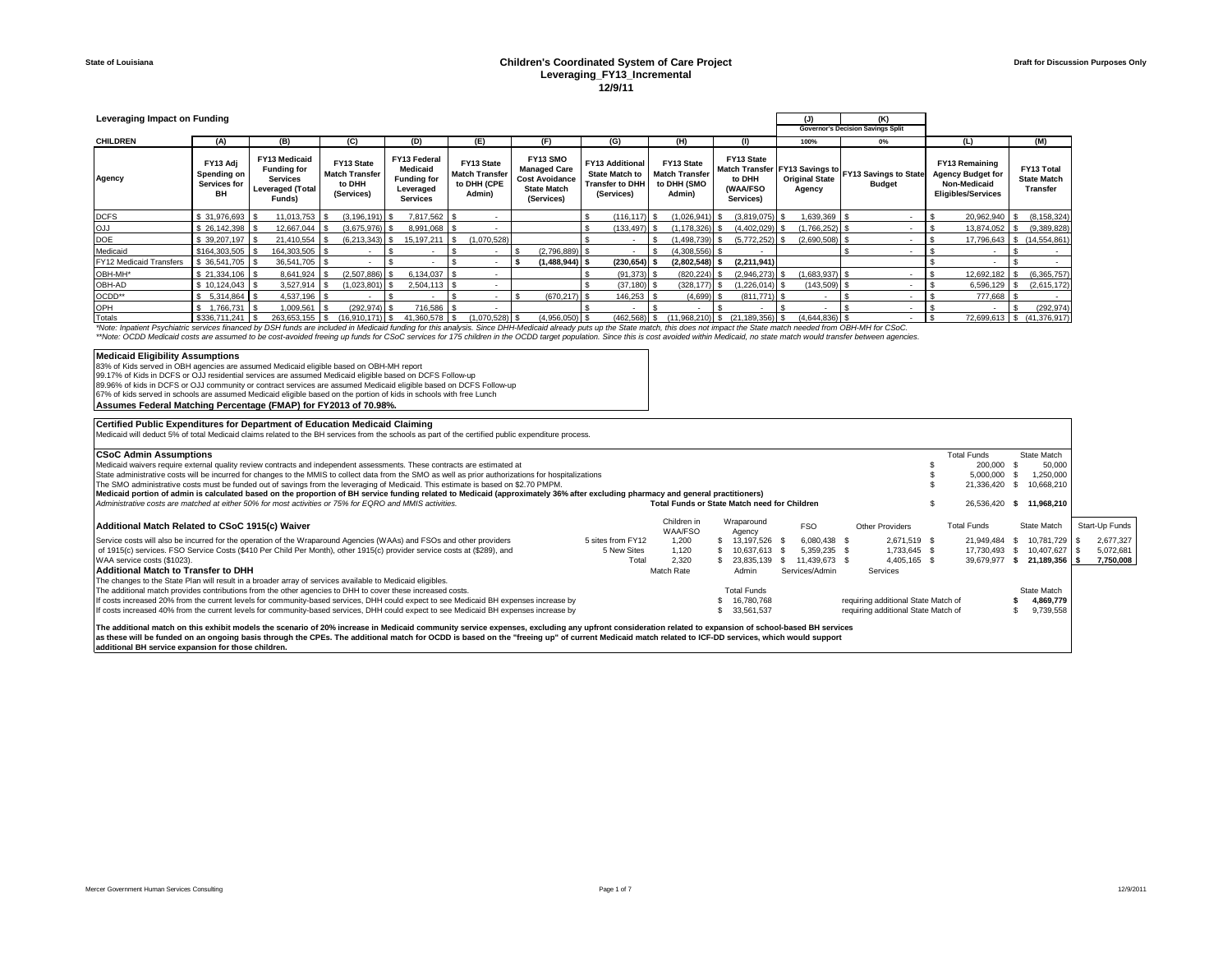### **State of Louisiana Children's Coordinated System of Care Project Leveraging\_FY13\_Incremental 12/9/11**

| Leveraging Impact on Funding                                                                                                                                                                                                   |                                               |                                                                                             |  |                                                             |  |                                                                                |  |                                                              |  |                                                                                              |  |                                                                                         |  |                                                              |  | (K)<br>(J)<br><b>Governor's Decision Savings Split</b> |  |                                 |  |                                                                       |                                                                                         |                                                     |
|--------------------------------------------------------------------------------------------------------------------------------------------------------------------------------------------------------------------------------|-----------------------------------------------|---------------------------------------------------------------------------------------------|--|-------------------------------------------------------------|--|--------------------------------------------------------------------------------|--|--------------------------------------------------------------|--|----------------------------------------------------------------------------------------------|--|-----------------------------------------------------------------------------------------|--|--------------------------------------------------------------|--|--------------------------------------------------------|--|---------------------------------|--|-----------------------------------------------------------------------|-----------------------------------------------------------------------------------------|-----------------------------------------------------|
| <b>CHILDREN</b>                                                                                                                                                                                                                | (A)                                           | (B)                                                                                         |  | (C)                                                         |  | (D)                                                                            |  | (E)                                                          |  | (F)                                                                                          |  | (G)                                                                                     |  | (H)                                                          |  | (1)                                                    |  | 100%                            |  | $0\%$                                                                 | (L)                                                                                     | (M)                                                 |
| Agency                                                                                                                                                                                                                         | FY13 Adi<br>Spending on<br>Services for<br>BH | FY13 Medicaid<br><b>Funding for</b><br><b>Services</b><br><b>Leveraged (Total</b><br>Funds) |  | FY13 State<br><b>Match Transfer</b><br>to DHH<br>(Services) |  | FY13 Federal<br>Medicaid<br><b>Funding for</b><br>Leveraged<br><b>Services</b> |  | FY13 State<br><b>Match Transfer</b><br>to DHH (CPE<br>Admin) |  | FY13 SMO<br><b>Managed Care</b><br><b>Cost Avoidance</b><br><b>State Match</b><br>(Services) |  | <b>FY13 Additional</b><br><b>State Match to</b><br><b>Transfer to DHH</b><br>(Services) |  | FY13 State<br><b>Match Transfer</b><br>to DHH (SMO<br>Admin) |  | FY13 State<br>to DHH<br>(WAA/FSO<br>Services)          |  | <b>Original State</b><br>Agency |  | Match Transfer FY13 Savings to FY13 Savings to State<br><b>Budget</b> | FY13 Remaining<br><b>Agency Budget for</b><br>Non-Medicaid<br><b>Eligibles/Services</b> | FY13 Total<br><b>State Match</b><br><b>Transfer</b> |
| <b>DCFS</b>                                                                                                                                                                                                                    | \$31,976,693                                  | 11.013.753                                                                                  |  | $(3.196.191)$ S                                             |  | 7.817.562   \$                                                                 |  |                                                              |  |                                                                                              |  | $(116.117)$ S                                                                           |  | $(1,026,941)$ \$                                             |  | $(3,819,075)$ \$                                       |  | 1,639,369 \$                    |  |                                                                       | 20,962,940                                                                              | (8, 158, 324)                                       |
| LlO                                                                                                                                                                                                                            | \$26,142,398                                  | 12,667,044                                                                                  |  | $(3,675,976)$ \$                                            |  | 8,991,068 \$                                                                   |  |                                                              |  |                                                                                              |  | $(133, 497)$ \$                                                                         |  | (1, 178, 326)                                                |  | $(4,402,029)$ \$                                       |  | $(1,766,252)$ \$                |  |                                                                       | 13,874,052                                                                              | (9,389,828)                                         |
| DOE                                                                                                                                                                                                                            | \$39,207,197                                  | 21,410,554                                                                                  |  | (6.213.343)                                                 |  | 15, 197, 211                                                                   |  | (1,070,528)                                                  |  |                                                                                              |  |                                                                                         |  | 1,498,739)                                                   |  | $(5,772,252)$ \$                                       |  | $(2,690,508)$ \$                |  |                                                                       | 17,796,643                                                                              | \$(14,554,861)                                      |
| Medicaid                                                                                                                                                                                                                       | \$164,303,505                                 | 164,303,505 \$                                                                              |  |                                                             |  |                                                                                |  | $\sim$                                                       |  | $(2,796,889)$ \$                                                                             |  |                                                                                         |  | $(4.308.556)$ \$                                             |  |                                                        |  |                                 |  | ۰                                                                     |                                                                                         |                                                     |
| FY12 Medicaid Transfers                                                                                                                                                                                                        | \$36,541,705                                  | 36,541,705 \$                                                                               |  |                                                             |  |                                                                                |  |                                                              |  | $(1,488,944)$ \$                                                                             |  | $(230, 654)$ \$                                                                         |  | $(2,802,548)$ \$                                             |  | (2, 211, 941)                                          |  |                                 |  |                                                                       |                                                                                         |                                                     |
| OBH-MH*                                                                                                                                                                                                                        | \$21,334,106                                  | 8.641.924                                                                                   |  | (2,507,886)                                                 |  | 6.134.037                                                                      |  |                                                              |  |                                                                                              |  | $(91, 373)$ \$                                                                          |  | (820, 224)                                                   |  | $(2.946.273)$ S                                        |  | $(1,683,937)$ \$                |  |                                                                       | 12,692,182                                                                              | (6,365,757)                                         |
| OBH-AD                                                                                                                                                                                                                         | \$10,124,043                                  | 3,527,914                                                                                   |  | $(1,023,801)$ \$                                            |  | $2,504,113$ \$                                                                 |  |                                                              |  |                                                                                              |  | $(37, 180)$ \$                                                                          |  | $(328, 177)$ \$                                              |  | $(1,226,014)$ \$                                       |  | $(143,509)$ \$                  |  |                                                                       | 6,596,129                                                                               | (2,615,172)                                         |
| OCDD**                                                                                                                                                                                                                         | $5.314.864$ \ \$                              | 4.537.196                                                                                   |  |                                                             |  |                                                                                |  |                                                              |  | $(670, 217)$ \$                                                                              |  | 146.253                                                                                 |  | (4,699)                                                      |  | $(811.771)$ S                                          |  |                                 |  |                                                                       | 777.668                                                                                 |                                                     |
| OPH                                                                                                                                                                                                                            | 1.766.731                                     | .009.561                                                                                    |  | $(292.974)$ \$                                              |  | 716,586                                                                        |  |                                                              |  |                                                                                              |  |                                                                                         |  |                                                              |  |                                                        |  |                                 |  |                                                                       |                                                                                         | (292, 974)                                          |
| Totals                                                                                                                                                                                                                         | \$336.711.241                                 | 263.653.155                                                                                 |  | (16.910.171)                                                |  | 41.360.578                                                                     |  | (1.070.528)                                                  |  | $(4,956,050)$ \$                                                                             |  | (462.568)                                                                               |  | (11.968.210                                                  |  | $(21.189.356)$ \$                                      |  | $(4,644,836)$ \$                |  |                                                                       |                                                                                         | 72,699,613   \$ (41,376,917)                        |
| *Note: Inpatient Psychiatric services financed by DSH funds are included in Medicaid funding for this analysis. Since DHH-Medicaid already puts up the State match, this does not impact the State match needed from OBH-MH fo |                                               |                                                                                             |  |                                                             |  |                                                                                |  |                                                              |  |                                                                                              |  |                                                                                         |  |                                                              |  |                                                        |  |                                 |  |                                                                       |                                                                                         |                                                     |

\*\*Note: OCDD Medicaid costs are assumed to be cost-avoided freeing up funds for CSoC services for 175 children in the OCDD target population. Since this is cost avoided within Medicaid, no state match would transfer betwee

#### **Medicaid Eligibility Assumptions**

- 83% of Kids served in OBH agencies are assumed Medicaid eligible based on OBH-MH report<br>99.17% of Kids in DCFS or OJJ residential services are assumed Medicaid eligible based on DCFS Follow-up<br>89.96% of kids in DCFS or OJ
- 67% of kids served in schools are assumed Medicaid eligible based on the portion of kids in schools with free Lunch

**Assumes Federal Matching Percentage (FMAP) for FY2013 of 70.98%.**

| Certified Public Expenditures for Department of Education Medicaid Claiming                                                                                                                           |                   |                                                     |            |                      |            |                |                                     |              |                    |            |    |                 |                |           |  |
|-------------------------------------------------------------------------------------------------------------------------------------------------------------------------------------------------------|-------------------|-----------------------------------------------------|------------|----------------------|------------|----------------|-------------------------------------|--------------|--------------------|------------|----|-----------------|----------------|-----------|--|
| Medicaid will deduct 5% of total Medicaid claims related to the BH services from the schools as part of the certified public expenditure process.                                                     |                   |                                                     |            |                      |            |                |                                     |              |                    |            |    |                 |                |           |  |
| <b>CSoC Admin Assumptions</b>                                                                                                                                                                         |                   |                                                     |            |                      |            |                |                                     |              | <b>Total Funds</b> |            |    | State Match     |                |           |  |
| Medicaid waivers require external quality review contracts and independent assessments. These contracts are estimated at                                                                              |                   |                                                     |            |                      |            |                |                                     |              |                    | 200.000    |    | 50,000          |                |           |  |
| State administrative costs will be incurred for changes to the MMIS to collect data from the SMO as well as prior authorizations for hospitalizations                                                 |                   |                                                     | 5,000,000  |                      | ,250,000   |                |                                     |              |                    |            |    |                 |                |           |  |
| The SMO administrative costs must be funded out of savings from the leveraging of Medicaid. This estimate is based on \$2.70 PMPM.                                                                    |                   |                                                     | 21,336,420 |                      | 10,668,210 |                |                                     |              |                    |            |    |                 |                |           |  |
| Medicaid portion of admin is calculated based on the proportion of BH service funding related to Medicaid (approximately 36% after excluding pharmacy and general practitioners)                      |                   |                                                     |            |                      |            |                |                                     |              |                    |            |    |                 |                |           |  |
| Administrative costs are matched at either 50% for most activities or 75% for EQRO and MMIS activities.                                                                                               |                   | <b>Total Funds or State Match need for Children</b> |            |                      |            |                |                                     |              |                    | 26,536,420 | s  | 11.968.210      |                |           |  |
| Additional Match Related to CSoC 1915(c) Waiver                                                                                                                                                       |                   | Children in<br><b>WAA/FSO</b>                       |            | Wraparound<br>Agency |            | <b>FSO</b>     | <b>Other Providers</b>              |              | <b>Total Funds</b> |            |    | State Match     | Start-Up Funds |           |  |
| Service costs will also be incurred for the operation of the Wraparound Agencies (WAAs) and FSOs and other providers                                                                                  | 5 sites from FY12 | 1.200                                               |            | 13.197.526           |            | 6.080.438 \$   |                                     | 2,671,519 \$ |                    | 21,949,484 | s. | 10.781.729 S    |                | 2.677.327 |  |
| of 1915(c) services. FSO Service Costs (\$410 Per Child Per Month), other 1915(c) provider service costs at (\$289), and                                                                              | 5 New Sites       | 1.120                                               |            | 10,637,613 \$        |            | 5.359.235 \$   |                                     | 1,733,645 \$ |                    | 17,730,493 | -S | 10.407.627   \$ |                | 5,072,681 |  |
| WAA service costs (\$1023).                                                                                                                                                                           | Total             | 2.320                                               |            | 23,835,139           |            | 11.439.673 \$  |                                     | 4.405.165 \$ |                    | 39.679.977 |    | 21.189.356 \$   |                | 7.750.008 |  |
| Additional Match to Transfer to DHH                                                                                                                                                                   |                   | Match Rate                                          |            | Admin                |            | Services/Admin | Services                            |              |                    |            |    |                 |                |           |  |
| The changes to the State Plan will result in a broader array of services available to Medicaid eligibles.                                                                                             |                   |                                                     |            |                      |            |                |                                     |              |                    |            |    |                 |                |           |  |
| The additional match provides contributions from the other agencies to DHH to cover these increased costs.                                                                                            |                   |                                                     |            | <b>Total Funds</b>   |            |                |                                     |              |                    |            |    | State Match     |                |           |  |
| If costs increased 20% from the current levels for community-based services, DHH could expect to see Medicaid BH expenses increase by                                                                 |                   |                                                     |            | 16.780.768           |            |                | requiring additional State Match of |              |                    |            |    | 4,869,779       |                |           |  |
| If costs increased 40% from the current levels for community-based services, DHH could expect to see Medicaid BH expenses increase by                                                                 |                   |                                                     |            | 33.561.537           |            |                | requiring additional State Match of |              |                    |            |    | 9,739,558       |                |           |  |
| The additional match on this exhibit models the scenario of 20% increase in Medicaid community service expenses, excluding any upfront consideration related to expansion of school-based BH services |                   |                                                     |            |                      |            |                |                                     |              |                    |            |    |                 |                |           |  |
| the company of the contract was seen that the company of the company of the company of the company of the compa                                                                                       |                   |                                                     |            |                      |            |                |                                     |              |                    |            |    |                 |                |           |  |

The additional match on this exhibit models the scenario of 20% increase in Medicaid community service expenses, excluding any upfront consideration related to expansion of school-based BH services<br>as these will be funded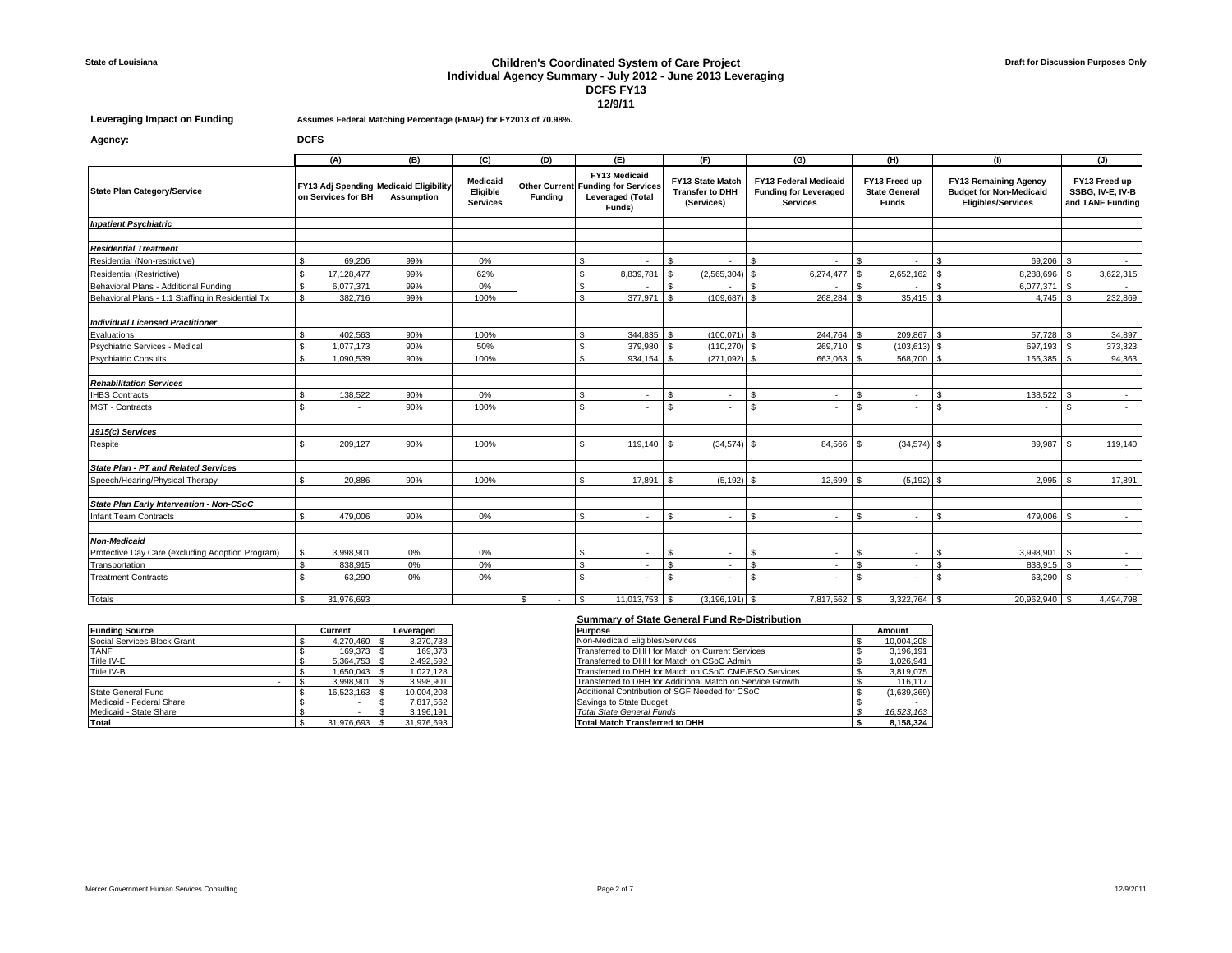## **State of Louisiana Children's Coordinated System of Care Project Individual Agency Summary - July 2012 - June 2013 Leveraging DCFS FY13 12/9/11**

**Agency: DCFS**

**Leveraging Impact on Funding Assumes Federal Matching Percentage (FMAP) for FY2013 of 70.98%.**

|                                                   |                    | (A)                | (B)                                                         | (C)                                     | (D)            | (E)                                                                                             |                | (F)                                                      |                         | (G)                                                                             |                    | (H)                                                   |   | (1)                                                                                         |              | (J)                                                   |
|---------------------------------------------------|--------------------|--------------------|-------------------------------------------------------------|-----------------------------------------|----------------|-------------------------------------------------------------------------------------------------|----------------|----------------------------------------------------------|-------------------------|---------------------------------------------------------------------------------|--------------------|-------------------------------------------------------|---|---------------------------------------------------------------------------------------------|--------------|-------------------------------------------------------|
| <b>State Plan Category/Service</b>                |                    | on Services for BH | FY13 Adj Spending Medicaid Eligibility<br><b>Assumption</b> | Medicaid<br>Eligible<br><b>Services</b> | <b>Funding</b> | FY13 Medicaid<br><b>Other Current Funding for Services</b><br><b>Leveraged (Total</b><br>Funds) |                | FY13 State Match<br><b>Transfer to DHH</b><br>(Services) |                         | <b>FY13 Federal Medicaid</b><br><b>Funding for Leveraged</b><br><b>Services</b> |                    | FY13 Freed up<br><b>State General</b><br><b>Funds</b> |   | <b>FY13 Remaining Agency</b><br><b>Budget for Non-Medicaid</b><br><b>Eligibles/Services</b> |              | FY13 Freed up<br>SSBG, IV-E, IV-B<br>and TANF Funding |
| <b>Inpatient Psychiatric</b>                      |                    |                    |                                                             |                                         |                |                                                                                                 |                |                                                          |                         |                                                                                 |                    |                                                       |   |                                                                                             |              |                                                       |
|                                                   |                    |                    |                                                             |                                         |                |                                                                                                 |                |                                                          |                         |                                                                                 |                    |                                                       |   |                                                                                             |              |                                                       |
| <b>Residential Treatment</b>                      |                    |                    |                                                             |                                         |                |                                                                                                 |                |                                                          |                         |                                                                                 |                    |                                                       |   |                                                                                             |              |                                                       |
| Residential (Non-restrictive)                     |                    | 69,206             | 99%                                                         | $0\%$                                   |                | \$<br>×                                                                                         | - \$           | $\sim$                                                   | \$                      |                                                                                 | \$.                |                                                       |   | 69,206                                                                                      | <b>S</b>     | $\sim$                                                |
| Residential (Restrictive)                         | $\mathfrak{s}$     | 17.128.477         | 99%                                                         | 62%                                     |                | \$<br>8.839.781                                                                                 | l \$           | (2.565.304)                                              | $\mathbf{\mathfrak{S}}$ | 6.274.477                                                                       | \$                 | $2.652.162$ \$                                        |   | 8.288.696                                                                                   | $\sqrt{s}$   | 3.622.315                                             |
| Behavioral Plans - Additional Funding             | \$                 | 6,077,371          | 99%                                                         | 0%                                      |                | \$                                                                                              | l \$           |                                                          | $\mathfrak{L}$          |                                                                                 | £.                 |                                                       | ፍ | 6.077.371 \$                                                                                |              |                                                       |
| Behavioral Plans - 1:1 Staffing in Residential Tx | ፍ                  | 382,716            | 99%                                                         | 100%                                    |                | 377,971<br>\$                                                                                   | l s            | (109, 687)                                               | - \$                    | 268,284                                                                         | ፍ                  | $35.415$ \\$                                          |   | $4,745$ \$                                                                                  |              | 232.869                                               |
| <b>Individual Licensed Practitioner</b>           |                    |                    |                                                             |                                         |                |                                                                                                 |                |                                                          |                         |                                                                                 |                    |                                                       |   |                                                                                             |              |                                                       |
| Evaluations                                       |                    | 402,563            | 90%                                                         | 100%                                    |                | 344,835                                                                                         | <b>S</b>       | $(100, 071)$ \$                                          |                         | 244,764                                                                         |                    | 209,867 \$                                            |   | 57,728                                                                                      |              | 34,897                                                |
| Psychiatric Services - Medical                    |                    | 1.077.173          | 90%                                                         | 50%                                     |                | 379,980<br>ፍ                                                                                    | <b>S</b>       | $(110, 270)$ \$                                          |                         | 269,710                                                                         |                    | $(103, 613)$ \$                                       |   | 697,193                                                                                     |              | 373,323                                               |
| <b>Psychiatric Consults</b>                       | ፍ                  | 1.090.539          | 90%                                                         | 100%                                    |                | 934,154 \$                                                                                      |                | (271,092)                                                | $\mathbf{\mathfrak{S}}$ | 663,063                                                                         |                    | 568,700                                               |   | 156,385                                                                                     |              | 94,363                                                |
| <b>Rehabilitation Services</b>                    |                    |                    |                                                             |                                         |                |                                                                                                 |                |                                                          |                         |                                                                                 |                    |                                                       |   |                                                                                             |              |                                                       |
| <b>IHBS Contracts</b>                             |                    | 138,522            | 90%                                                         | 0%                                      |                | \$.<br>٠                                                                                        | \$.            | $\sim$                                                   | $\mathfrak{L}$          |                                                                                 | \$.                |                                                       |   | 138,522                                                                                     | $\mathbf{s}$ | <b>1979</b>                                           |
| <b>MST</b> - Contracts                            | ¢                  |                    | 90%                                                         | 100%                                    |                | $\mathbf{s}$                                                                                    | - \$           | $\sim$                                                   | $\mathfrak{L}$          |                                                                                 | ፍ                  |                                                       |   | ٠                                                                                           | $\mathbf{s}$ |                                                       |
| 1915(c) Services                                  |                    |                    |                                                             |                                         |                |                                                                                                 |                |                                                          |                         |                                                                                 |                    |                                                       |   |                                                                                             |              |                                                       |
| Respite                                           | ፍ                  | 209,127            | 90%                                                         | 100%                                    |                | ፍ<br>119,140                                                                                    |                | (34, 574)                                                | $\mathcal{S}$           | 84,566                                                                          |                    | $(34,574)$ \$                                         |   | 89,987                                                                                      |              | 119.140                                               |
| <b>State Plan - PT and Related Services</b>       |                    |                    |                                                             |                                         |                |                                                                                                 |                |                                                          |                         |                                                                                 |                    |                                                       |   |                                                                                             |              |                                                       |
| Speech/Hearing/Physical Therapy                   |                    | 20.886             | 90%                                                         | 100%                                    |                | 17,891<br>¢                                                                                     |                | (5, 192)                                                 |                         | 12,699                                                                          |                    | $(5.192)$ \$                                          |   | 2,995                                                                                       |              | 17,891                                                |
| State Plan Early Intervention - Non-CSoC          |                    |                    |                                                             |                                         |                |                                                                                                 |                |                                                          |                         |                                                                                 |                    |                                                       |   |                                                                                             |              |                                                       |
| <b>Infant Team Contracts</b>                      |                    | 479.006            | 90%                                                         | 0%                                      |                | ፍ<br>٠                                                                                          | - \$           | $\sim$                                                   | $\mathfrak{L}$          |                                                                                 | ፍ                  | ٠                                                     |   | 479.006                                                                                     |              |                                                       |
|                                                   |                    |                    |                                                             |                                         |                |                                                                                                 |                |                                                          |                         |                                                                                 |                    |                                                       |   |                                                                                             |              |                                                       |
| <b>Non-Medicaid</b>                               |                    |                    |                                                             |                                         |                |                                                                                                 |                |                                                          |                         |                                                                                 |                    |                                                       |   |                                                                                             |              |                                                       |
| Protective Day Care (excluding Adoption Program)  | $\mathbf{s}$       | 3.998.901          | 0%                                                          | 0%                                      |                | \$<br>×.                                                                                        | $\mathfrak{s}$ | ۰.                                                       | $\mathfrak{L}$          |                                                                                 | \$.                | ٠                                                     |   | 3.998.901                                                                                   | $\mathbf{s}$ | <b>1979</b>                                           |
| Transportation                                    |                    | 838.915            | 0%                                                          | 0%                                      |                | $\mathbf{s}$<br>٠                                                                               | - \$           | $\sim$                                                   | $\mathfrak{s}$          |                                                                                 | \$.                | ٠                                                     |   | 838.915                                                                                     | $\mathbf{s}$ | $\sim$                                                |
| <b>Treatment Contracts</b>                        | ፍ                  | 63.290             | 0%                                                          | 0%                                      |                | $\mathbf{s}$<br>×.                                                                              | $\mathbf{s}$   | $\sim$                                                   | $\mathfrak{L}$          |                                                                                 | $\mathbf{\hat{S}}$ | ٠                                                     |   | 63.290                                                                                      | $\hat{\tau}$ | $\sim$                                                |
| <b>Totals</b>                                     | $\mathbf{\hat{z}}$ | 31,976,693         |                                                             |                                         | - \$<br>$\sim$ | $11.013,753$ \ \$<br>l \$                                                                       |                | $(3, 196, 191)$ \$                                       |                         | 7,817,562                                                                       | - \$               |                                                       |   | 20.962.940                                                                                  |              | 4.494.798                                             |

|                             |                |            | <u>UUIIIIIIUI VULUUDUUD UUIIUI UIIU ING-DISLIIDULIUI</u>  |             |
|-----------------------------|----------------|------------|-----------------------------------------------------------|-------------|
| <b>Funding Source</b>       | Current        | Leveraged  | Purpose                                                   | Amount      |
| Social Services Block Grant | 4.270.460 \$   | 3,270,738  | Non-Medicaid Eligibles/Services                           | 10,004,208  |
| <b>TANF</b>                 | 169.373        | 169.373    | Transferred to DHH for Match on Current Services          | 3,196,191   |
| Title IV-E                  | 5,364,753 \$   | 2,492,592  | Transferred to DHH for Match on CSoC Admin                | 1,026,941   |
| Title IV-B                  | $1.650.043$ \$ | 1.027.128  | Transferred to DHH for Match on CSoC CME/FSO Services     | 3.819.075   |
|                             | $3.998.901$ \$ | 3.998.901  | Transferred to DHH for Additional Match on Service Growth | 116.117     |
| State General Fund          | 16.523.163 \$  | 10,004,208 | Additional Contribution of SGF Needed for CSoC            | (1,639,369) |
| Medicaid - Federal Share    |                | 7.817.562  | Savings to State Budget                                   |             |
| Medicaid - State Share      |                | 3.196.191  | <b>Total State General Funds</b>                          | 16.523.163  |
| Total                       | 31.976.693     | 31,976,693 | Total Match Transferred to DHH                            | 8.158.324   |

## **Summary of State General Fund Re-Distribution**

| Purpose                                                   |   | Amount      |
|-----------------------------------------------------------|---|-------------|
| Non-Medicaid Eligibles/Services                           |   | 10,004,208  |
| Transferred to DHH for Match on Current Services          |   | 3,196,191   |
| Transferred to DHH for Match on CSoC Admin                |   | 1,026,941   |
| Transferred to DHH for Match on CSoC CME/FSO Services     |   | 3,819,075   |
| Transferred to DHH for Additional Match on Service Growth |   | 116.117     |
| Additional Contribution of SGF Needed for CSoC            |   | (1,639,369) |
| Savings to State Budget                                   |   |             |
| <b>Total State General Funds</b>                          |   | 16.523.163  |
| <b>Total Match Transferred to DHH</b>                     | ¢ | 8.158.324   |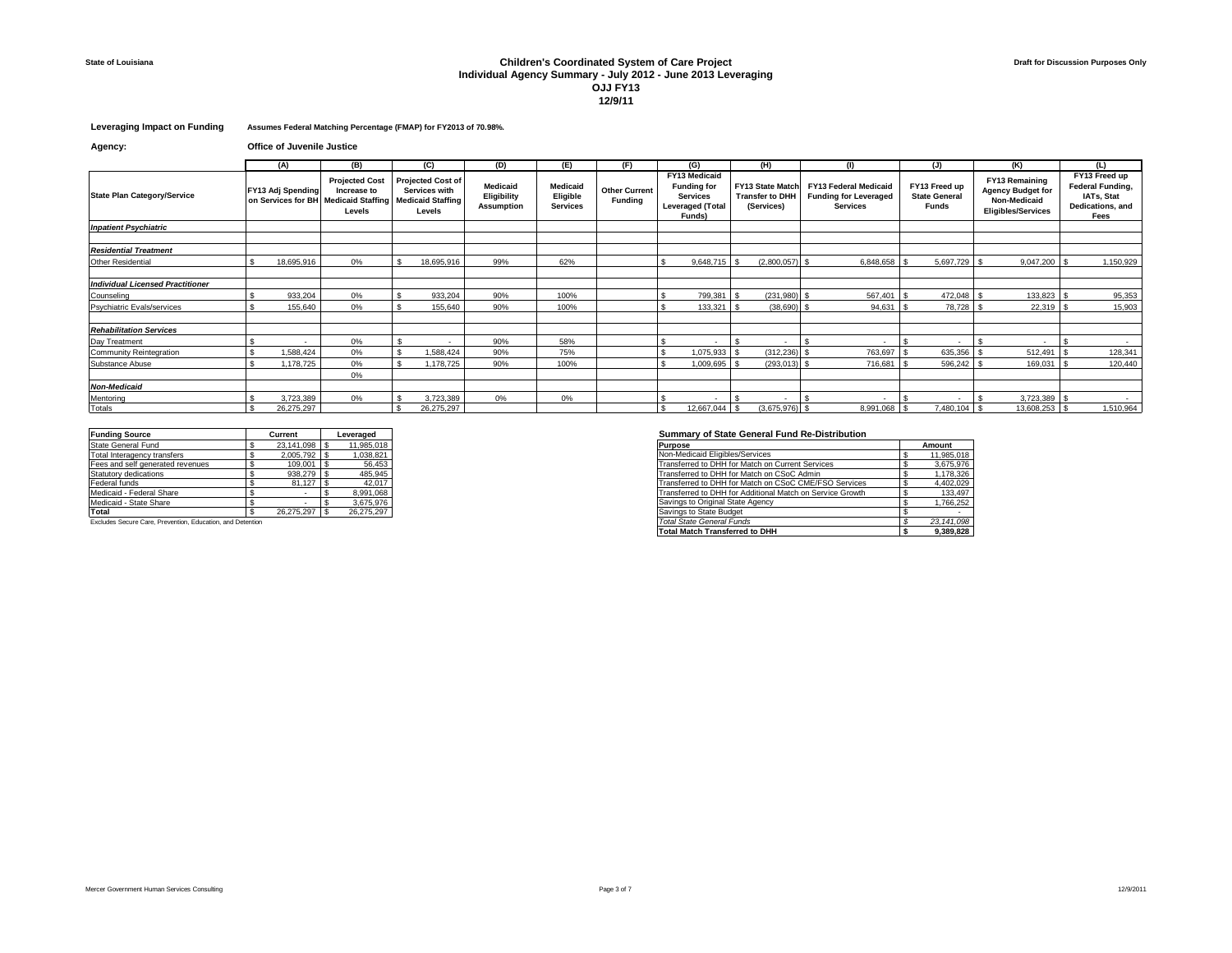## **State of Louisiana Children's Coordinated System of Care Project Individual Agency Summary - July 2012 - June 2013 Leveraging OJJ FY13 12/9/11**

**Leveraging Impact on Funding Assumes Federal Matching Percentage (FMAP) for FY2013 of 70.98%.**

| Agency: | <b>Office of Juvenile Justice</b> |
|---------|-----------------------------------|
|---------|-----------------------------------|

|                                         | (A)                      | (B)                                                                                    | (C)                                                                             | (D)                                          | (E)                                            | (F)                                    |                                                                                             | (G)                      |                                                          | (H)              |                                                                                 |                                                       | (J)          | (K)                                                                                            | (L)                                                                         |
|-----------------------------------------|--------------------------|----------------------------------------------------------------------------------------|---------------------------------------------------------------------------------|----------------------------------------------|------------------------------------------------|----------------------------------------|---------------------------------------------------------------------------------------------|--------------------------|----------------------------------------------------------|------------------|---------------------------------------------------------------------------------|-------------------------------------------------------|--------------|------------------------------------------------------------------------------------------------|-----------------------------------------------------------------------------|
| <b>State Plan Category/Service</b>      | <b>FY13 Adj Spending</b> | <b>Projected Cost</b><br>Increase to<br>on Services for BH Medicaid Staffing<br>Levels | <b>Projected Cost of</b><br>Services with<br><b>Medicaid Staffing</b><br>Levels | Medicaid<br>Eligibility<br><b>Assumption</b> | <b>Medicaid</b><br>Eligible<br><b>Services</b> | <b>Other Current</b><br><b>Funding</b> | FY13 Medicaid<br><b>Funding for</b><br><b>Services</b><br><b>Leveraged (Total</b><br>Funds) |                          | FY13 State Match<br><b>Transfer to DHH</b><br>(Services) |                  | <b>FY13 Federal Medicaid</b><br><b>Funding for Leveraged</b><br><b>Services</b> | FY13 Freed up<br><b>State General</b><br><b>Funds</b> |              | <b>FY13 Remaining</b><br><b>Agency Budget for</b><br>Non-Medicaid<br><b>Eligibles/Services</b> | FY13 Freed up<br>Federal Funding,<br>IATs, Stat<br>Dedications, and<br>Fees |
| <b>Inpatient Psychiatric</b>            |                          |                                                                                        |                                                                                 |                                              |                                                |                                        |                                                                                             |                          |                                                          |                  |                                                                                 |                                                       |              |                                                                                                |                                                                             |
|                                         |                          |                                                                                        |                                                                                 |                                              |                                                |                                        |                                                                                             |                          |                                                          |                  |                                                                                 |                                                       |              |                                                                                                |                                                                             |
| <b>Residential Treatment</b>            |                          |                                                                                        |                                                                                 |                                              |                                                |                                        |                                                                                             |                          |                                                          |                  |                                                                                 |                                                       |              |                                                                                                |                                                                             |
| Other Residential                       | 18,695,916               | 0%                                                                                     | 18,695,916                                                                      | 99%                                          | 62%                                            |                                        |                                                                                             | $9,648,715$ \$           |                                                          | $(2,800,057)$ \$ | 6,848,658 \$                                                                    |                                                       | 5,697,729 \$ | $9,047,200$ \$                                                                                 | 1,150,929                                                                   |
|                                         |                          |                                                                                        |                                                                                 |                                              |                                                |                                        |                                                                                             |                          |                                                          |                  |                                                                                 |                                                       |              |                                                                                                |                                                                             |
| <b>Individual Licensed Practitioner</b> |                          |                                                                                        |                                                                                 |                                              |                                                |                                        |                                                                                             |                          |                                                          |                  |                                                                                 |                                                       |              |                                                                                                |                                                                             |
| Counseling                              | 933,204                  | 0%                                                                                     | 933,204                                                                         | 90%                                          | 100%                                           |                                        |                                                                                             | 799,381                  |                                                          | (231, 980)       | 567,401<br>ΙS                                                                   |                                                       | 472,048      | 133,823                                                                                        | 95,353                                                                      |
| Psychiatric Evals/services              | 155.640                  | 0%                                                                                     | 155.640                                                                         | 90%                                          | 100%                                           |                                        |                                                                                             | 133.321                  |                                                          | (38.690)         | 94.631                                                                          |                                                       | 78.728       | 22.319                                                                                         | 15,903                                                                      |
|                                         |                          |                                                                                        |                                                                                 |                                              |                                                |                                        |                                                                                             |                          |                                                          |                  |                                                                                 |                                                       |              |                                                                                                |                                                                             |
| <b>Rehabilitation Services</b>          |                          |                                                                                        |                                                                                 |                                              |                                                |                                        |                                                                                             |                          |                                                          |                  |                                                                                 |                                                       |              |                                                                                                |                                                                             |
| Day Treatment                           |                          | 0%                                                                                     |                                                                                 | 90%                                          | 58%                                            |                                        |                                                                                             | $\overline{\phantom{a}}$ |                                                          | $\sim$           |                                                                                 |                                                       |              |                                                                                                | $\sim$                                                                      |
| Community Reintegration                 | .588,424                 | 0%                                                                                     | 1,588,424                                                                       | 90%                                          | 75%                                            |                                        |                                                                                             | 1,075,933                |                                                          | (312, 236)       | 763,697                                                                         |                                                       | 635,356      | 512,491                                                                                        | 128,341                                                                     |
| Substance Abuse                         | .178.725                 | 0%                                                                                     | 1.178.725                                                                       | 90%                                          | 100%                                           |                                        |                                                                                             | 1,009,695                |                                                          | (293, 013)       | 716.681                                                                         |                                                       | 596.242      | $169.031$ :                                                                                    | 120,440                                                                     |
|                                         |                          | 0%                                                                                     |                                                                                 |                                              |                                                |                                        |                                                                                             |                          |                                                          |                  |                                                                                 |                                                       |              |                                                                                                |                                                                             |
| <b>Non-Medicaid</b>                     |                          |                                                                                        |                                                                                 |                                              |                                                |                                        |                                                                                             |                          |                                                          |                  |                                                                                 |                                                       |              |                                                                                                |                                                                             |
| Mentoring                               | 3,723,389                | 0%                                                                                     | 3,723,389                                                                       | 0%                                           | 0%                                             |                                        |                                                                                             |                          |                                                          |                  |                                                                                 |                                                       |              | 3,723,389 \$                                                                                   |                                                                             |
| Totals                                  | 26.275.297               |                                                                                        | 26.275.297                                                                      |                                              |                                                |                                        |                                                                                             | 12,667,044 \$            |                                                          | $(3,675,976)$ \$ | 8,991,068 \$                                                                    |                                                       | 7,480,104 \$ | 13,608,253 \$                                                                                  | 1,510,964                                                                   |

| <b>Funding Source</b>            | Current    | Leveraged  |
|----------------------------------|------------|------------|
| State General Fund               | 23.141.098 | 11.985.018 |
| Total Interagency transfers      | 2.005.792  | 1.038.821  |
| Fees and self generated revenues | 109,001    | 56,453     |
| Statutory dedications            | 938.279    | 485,945    |
| Federal funds                    | 81.127     | 42.017     |
| Medicaid - Federal Share         |            | 8.991.068  |
| Medicaid - State Share           |            | 3.675.976  |
| Total                            | 26.275.297 | 26,275,297 |
|                                  |            |            |

# **Funding Source Current Leveraged Summary of State General Fund Re-Distribution**

| State General Fund                                         | 23.141.098  | 11.985.018 |
|------------------------------------------------------------|-------------|------------|
| Total Interagency transfers                                | 2.005.792   | 038.821    |
| Fees and self generated revenues                           | $109.001$ S | 56.453     |
| Statutory dedications                                      |             | 485.945    |
| Federal funds                                              | 81.127      | 42.017     |
| Medicaid - Federal Share                                   |             | 8.991.068  |
| Medicaid - State Share                                     |             | 3.675.976  |
| Total                                                      | 26.275.297  | 26.275.297 |
| Excludes Secure Care, Prevention, Education, and Detention |             |            |
|                                                            |             |            |
|                                                            |             |            |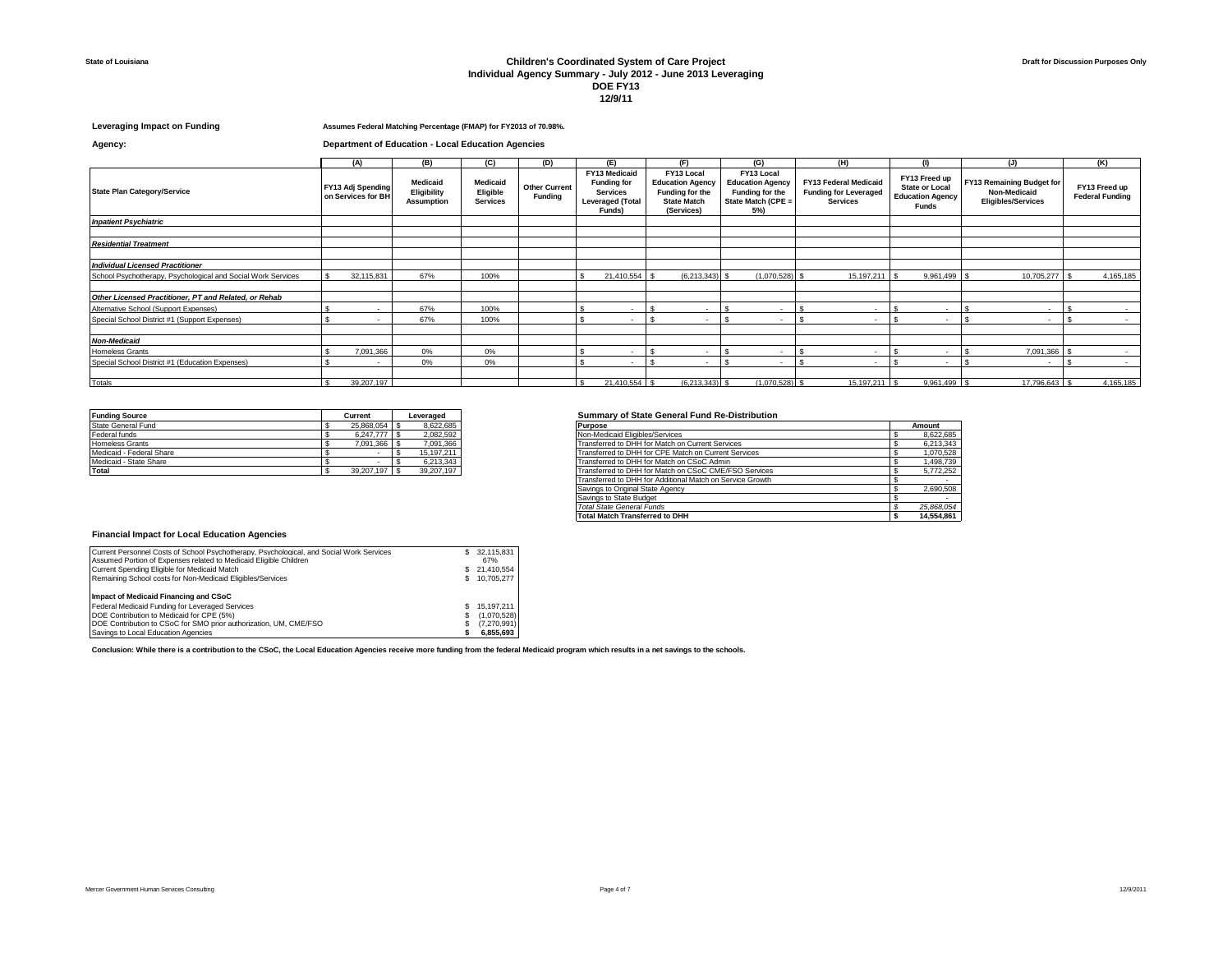#### **State of Louisiana Children's Coordinated System of Care Project Individual Agency Summary - July 2012 - June 2013 Leveraging DOE FY13 12/9/11**

### **Leveraging Impact on Funding Assumes Federal Matching Percentage (FMAP) for FY2013 of 70.98%.**

**Agency: Department of Education - Local Education Agencies**

|                                                              | (A)                                            | (B)                                          | (C)                                     | (D)                                    | (E)                                                                                         | (F)                                                                                          | (G)                                                                                   | (H)                                                                      | (1)                                                                               | (J)                                                                    | (K)                                     |
|--------------------------------------------------------------|------------------------------------------------|----------------------------------------------|-----------------------------------------|----------------------------------------|---------------------------------------------------------------------------------------------|----------------------------------------------------------------------------------------------|---------------------------------------------------------------------------------------|--------------------------------------------------------------------------|-----------------------------------------------------------------------------------|------------------------------------------------------------------------|-----------------------------------------|
| <b>State Plan Category/Service</b>                           | <b>FY13 Adj Spending</b><br>on Services for BH | Medicaid<br>Eligibility<br><b>Assumption</b> | Medicaid<br>Eligible<br><b>Services</b> | <b>Other Current</b><br><b>Funding</b> | FY13 Medicaid<br><b>Funding for</b><br><b>Services</b><br><b>Leveraged (Total</b><br>Funds) | FY13 Local<br><b>Education Agency</b><br>Funding for the<br><b>State Match</b><br>(Services) | FY13 Local<br><b>Education Agency</b><br>Funding for the<br>State Match (CPE =<br>5%) | FY13 Federal Medicaid<br><b>Funding for Leveraged</b><br><b>Services</b> | FY13 Freed up<br><b>State or Local</b><br><b>Education Agency</b><br><b>Funds</b> | FY13 Remaining Budget for<br>Non-Medicaid<br><b>Eligibles/Services</b> | FY13 Freed up<br><b>Federal Funding</b> |
| <b>Inpatient Psychiatric</b>                                 |                                                |                                              |                                         |                                        |                                                                                             |                                                                                              |                                                                                       |                                                                          |                                                                                   |                                                                        |                                         |
|                                                              |                                                |                                              |                                         |                                        |                                                                                             |                                                                                              |                                                                                       |                                                                          |                                                                                   |                                                                        |                                         |
| <b>Residential Treatment</b>                                 |                                                |                                              |                                         |                                        |                                                                                             |                                                                                              |                                                                                       |                                                                          |                                                                                   |                                                                        |                                         |
|                                                              |                                                |                                              |                                         |                                        |                                                                                             |                                                                                              |                                                                                       |                                                                          |                                                                                   |                                                                        |                                         |
| <b>Individual Licensed Practitioner</b>                      |                                                |                                              |                                         |                                        |                                                                                             |                                                                                              |                                                                                       |                                                                          |                                                                                   |                                                                        |                                         |
| School Psychotherapy, Psychological and Social Work Services | 32,115,831                                     | 67%                                          | 100%                                    |                                        | 21,410,554                                                                                  | $(6,213,343)$ \$                                                                             | $(1,070,528)$ \$                                                                      | 15,197,211 \$                                                            | 9,961,499                                                                         | 10,705,277                                                             | 4,165,185                               |
|                                                              |                                                |                                              |                                         |                                        |                                                                                             |                                                                                              |                                                                                       |                                                                          |                                                                                   |                                                                        |                                         |
| Other Licensed Practitioner. PT and Related, or Rehab        |                                                |                                              |                                         |                                        |                                                                                             |                                                                                              |                                                                                       |                                                                          |                                                                                   |                                                                        |                                         |
| Alternative School (Support Expenses)                        |                                                | 67%                                          | 100%                                    |                                        | $\overline{\phantom{a}}$                                                                    | $\overline{\phantom{a}}$                                                                     |                                                                                       | ٠                                                                        | $\overline{\phantom{a}}$                                                          | $\sim$                                                                 | $\sim$                                  |
| Special School District #1 (Support Expenses)                | $\sim$                                         | 67%                                          | 100%                                    |                                        |                                                                                             | ۰                                                                                            |                                                                                       |                                                                          | $\overline{\phantom{a}}$                                                          | $\sim$                                                                 | $\sim$                                  |
|                                                              |                                                |                                              |                                         |                                        |                                                                                             |                                                                                              |                                                                                       |                                                                          |                                                                                   |                                                                        |                                         |
| <b>Non-Medicaid</b>                                          |                                                |                                              |                                         |                                        |                                                                                             |                                                                                              |                                                                                       |                                                                          |                                                                                   |                                                                        |                                         |
| <b>Homeless Grants</b>                                       | 7,091,366                                      | 0%                                           | 0%                                      |                                        | $\sim$                                                                                      | $\overline{\phantom{a}}$                                                                     | $\sim$                                                                                |                                                                          | $\overline{\phantom{a}}$                                                          | 7,091,366                                                              | $\sim$                                  |
| Special School District #1 (Education Expenses)              | $\sim$                                         | 0%                                           | 0%                                      |                                        |                                                                                             | $\overline{\phantom{a}}$                                                                     | $\overline{\phantom{a}}$                                                              | ٠                                                                        | $\overline{\phantom{a}}$                                                          | $\sim$                                                                 | $\sim$                                  |
|                                                              |                                                |                                              |                                         |                                        |                                                                                             |                                                                                              |                                                                                       |                                                                          |                                                                                   |                                                                        |                                         |
| Totals                                                       | 39,207,197                                     |                                              |                                         |                                        | 21,410,554 \$                                                                               | $(6,213,343)$ \$                                                                             | $(1,070,528)$ \$                                                                      | 15,197,211 \$                                                            | 9,961,499 \$                                                                      | 17,796,643 \$                                                          | 4,165,185                               |

| <b>Funding Source</b>    | Current    | Leveraged  |
|--------------------------|------------|------------|
| State General Fund       | 25.868.054 | 8.622.685  |
| Federal funds            | 6.247.777  | 2,082,592  |
| Homeless Grants          | 091.366    | 7,091,366  |
| Medicaid - Federal Share |            | 15,197,211 |
| Medicaid - State Share   |            | 6.213.343  |
| <b>Total</b>             | 39,207,197 | 39.207.197 |

## **<u>Summary of State General Fund Re-Distribution</u>**

| 8.622.685<br>State General Fund<br>25.868.054 \$<br><b>Purpose</b>                                   | Amount     |
|------------------------------------------------------------------------------------------------------|------------|
| Federal funds<br>2.082.592<br>Non-Medicaid Eligibles/Services<br>6.247.777                           | 8,622,685  |
| <b>Homeless Grants</b><br>7.091.366<br>Transferred to DHH for Match on Current Services<br>7.091.366 | 6,213,343  |
| Transferred to DHH for CPE Match on Current Services<br>Medicaid - Federal Share<br>15.197.211       | 1,070,528  |
| Transferred to DHH for Match on CSoC Admin<br>Medicaid - State Share<br>6,213,343                    | 1,498,739  |
| Transferred to DHH for Match on CSoC CME/FSO Services<br>Total<br>39,207,197<br>39,207,197           | 5,772,252  |
| Transferred to DHH for Additional Match on Service Growth                                            |            |
| Savings to Original State Agency                                                                     | 2,690,508  |
| Savings to State Budget                                                                              |            |
| Total State General Funds                                                                            | 25,868,054 |
| Total Match Transferred to DHH                                                                       | 14,554,861 |

#### **Financial Impact for Local Education Agencies**

| Current Personnel Costs of School Psychotherapy, Psychological, and Social Work Services | s. | 32.115.831    |
|------------------------------------------------------------------------------------------|----|---------------|
| Assumed Portion of Expenses related to Medicaid Eligible Children                        |    | 67%           |
| Current Spending Eligible for Medicaid Match                                             |    | \$ 21.410.554 |
| Remaining School costs for Non-Medicaid Eligibles/Services                               |    | 10.705.277    |
| Impact of Medicaid Financing and CSoC                                                    |    |               |
| Federal Medicaid Funding for Leveraged Services                                          |    | 15.197.211    |
| DOE Contribution to Medicaid for CPE (5%)                                                |    | (1.070.528)   |
| DOE Contribution to CSoC for SMO prior authorization, UM, CME/FSO                        |    | (7,270,991)   |
| Savings to Local Education Agencies                                                      |    | 6.855.693     |

**Conclusion: While there is a contribution to the CSoC, the Local Education Agencies receive more funding from the federal Medicaid program which results in a net savings to the schools.**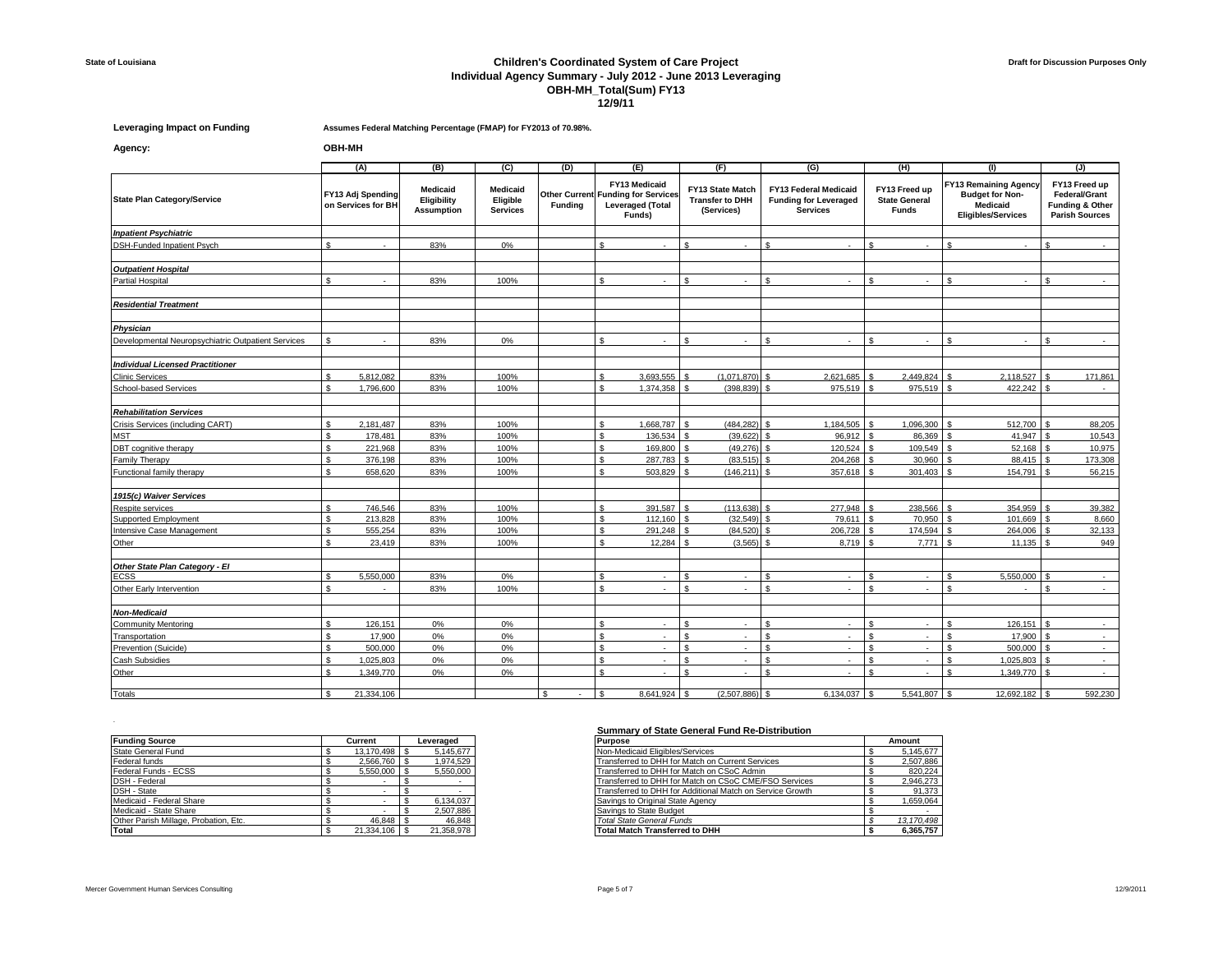## **State of Louisiana Children's Coordinated System of Care Project Individual Agency Summary - July 2012 - June 2013 Leveraging OBH-MH\_Total(Sum) FY13 12/9/11**

**Leveraging Impact on Funding Assumes Federal Matching Percentage (FMAP) for FY2013 of 70.98%.**

**Agency: OBH-MH**

|                                                    | (A)                 |                                         | (B)                                                 | $\overline{C}$                                 | (D)            | (E)                                                                                             | (F)                                                             |             |              | (G)                                                                                                                                      |    | (H)                                                                                             | (1)                             |                                                                            | (J)     |
|----------------------------------------------------|---------------------|-----------------------------------------|-----------------------------------------------------|------------------------------------------------|----------------|-------------------------------------------------------------------------------------------------|-----------------------------------------------------------------|-------------|--------------|------------------------------------------------------------------------------------------------------------------------------------------|----|-------------------------------------------------------------------------------------------------|---------------------------------|----------------------------------------------------------------------------|---------|
| <b>State Plan Category/Service</b>                 |                     | FY13 Adj Spending<br>on Services for BH | <b>Medicaid</b><br>Eligibility<br><b>Assumption</b> | <b>Medicaid</b><br>Eligible<br><b>Services</b> | <b>Funding</b> | FY13 Medicaid<br><b>Other Current Funding for Services</b><br><b>Leveraged (Total</b><br>Funds) | <b>FY13 State Match</b><br><b>Transfer to DHH</b><br>(Services) |             |              | <b>FY13 Federal Medicaid</b><br>FY13 Freed up<br><b>Funding for Leveraged</b><br><b>State General</b><br><b>Services</b><br><b>Funds</b> |    | <b>FY13 Remaining Agency</b><br><b>Budget for Non-</b><br>Medicaid<br><b>Eligibles/Services</b> |                                 | FY13 Freed up<br>Federal/Grant<br>Funding & Other<br><b>Parish Sources</b> |         |
| <b>Inpatient Psychiatric</b>                       |                     |                                         |                                                     |                                                |                |                                                                                                 |                                                                 |             |              |                                                                                                                                          |    |                                                                                                 |                                 |                                                                            |         |
| DSH-Funded Inpatient Psych                         | \$.                 | $\sim$                                  | 83%                                                 | 0%                                             |                | \$.                                                                                             | $\mathbf{s}$                                                    |             | £.           |                                                                                                                                          |    | $\sim$                                                                                          | \$.<br>$\overline{\phantom{a}}$ | \$.                                                                        |         |
|                                                    |                     |                                         |                                                     |                                                |                |                                                                                                 |                                                                 |             |              |                                                                                                                                          |    |                                                                                                 |                                 |                                                                            |         |
| <b>Outpatient Hospital</b>                         |                     |                                         |                                                     |                                                |                |                                                                                                 |                                                                 |             |              |                                                                                                                                          |    |                                                                                                 |                                 |                                                                            |         |
| <b>Partial Hospital</b>                            | ¢                   |                                         | 83%                                                 | 100%                                           |                | ¢                                                                                               |                                                                 |             |              |                                                                                                                                          |    |                                                                                                 | ¢                               | $\bullet$                                                                  |         |
|                                                    |                     |                                         |                                                     |                                                |                |                                                                                                 |                                                                 |             |              |                                                                                                                                          |    |                                                                                                 |                                 |                                                                            |         |
| <b>Residential Treatment</b>                       |                     |                                         |                                                     |                                                |                |                                                                                                 |                                                                 |             |              |                                                                                                                                          |    |                                                                                                 |                                 |                                                                            |         |
|                                                    |                     |                                         |                                                     |                                                |                |                                                                                                 |                                                                 |             |              |                                                                                                                                          |    |                                                                                                 |                                 |                                                                            |         |
| Physician                                          |                     |                                         |                                                     |                                                |                |                                                                                                 |                                                                 |             |              |                                                                                                                                          |    |                                                                                                 |                                 |                                                                            |         |
| Developmental Neuropsychiatric Outpatient Services | S                   | $\sim$                                  | 83%                                                 | 0%                                             |                | \$.                                                                                             | ፍ                                                               |             | ፍ            |                                                                                                                                          |    | $\sim$                                                                                          | ፍ                               | ፍ                                                                          | $\sim$  |
|                                                    |                     |                                         |                                                     |                                                |                |                                                                                                 |                                                                 |             |              |                                                                                                                                          |    |                                                                                                 |                                 |                                                                            |         |
| <b>Individual Licensed Practitioner</b>            |                     |                                         |                                                     |                                                |                |                                                                                                 |                                                                 |             |              |                                                                                                                                          |    |                                                                                                 |                                 |                                                                            |         |
| <b>Clinic Services</b>                             | \$.                 | 5.812.082                               | 83%                                                 | 100%                                           |                | \$.<br>3,693,555                                                                                |                                                                 | (1,071,870) | ¢            | 2.621.685                                                                                                                                |    | 2.449.824                                                                                       | 2.118.527<br>ፍ                  |                                                                            | 171,861 |
| School-based Services                              | \$.                 | 1,796,600                               | 83%                                                 | 100%                                           |                | $\mathbf{s}$<br>1,374,358                                                                       | $\mathcal{F}$                                                   | (398, 839)  | -S           | 975,519                                                                                                                                  |    | 975,519                                                                                         | 422,242<br>$\mathbf{s}$         |                                                                            |         |
|                                                    |                     |                                         |                                                     |                                                |                |                                                                                                 |                                                                 |             |              |                                                                                                                                          |    |                                                                                                 |                                 |                                                                            |         |
| <b>Rehabilitation Services</b>                     |                     |                                         |                                                     |                                                |                |                                                                                                 |                                                                 |             |              |                                                                                                                                          |    |                                                                                                 |                                 |                                                                            |         |
| Crisis Services (including CART)                   | \$.                 | 2,181,487                               | 83%                                                 | 100%                                           |                | \$.<br>1,668,787                                                                                | £.                                                              | (484, 282)  | ፍ            | 1,184,505                                                                                                                                |    | 1,096,300                                                                                       | 512,700<br>$\hat{\mathcal{L}}$  |                                                                            | 88,205  |
| <b>MST</b>                                         | \$                  | 178,481                                 | 83%                                                 | 100%                                           |                | \$<br>136,534                                                                                   |                                                                 | (39, 622)   | £.           | 96,912                                                                                                                                   |    | 86,369                                                                                          | 41,947                          |                                                                            | 10,543  |
| DBT cognitive therapy                              | S                   | 221,968                                 | 83%                                                 | 100%                                           |                | \$<br>169,800                                                                                   |                                                                 | (49.276)    | S.           | 120.524                                                                                                                                  |    | 109.549                                                                                         | 52.168<br>£.                    |                                                                            | 10,975  |
| Family Therapy                                     | £.                  | 376,198                                 | 83%                                                 | 100%                                           |                | $\mathbf{\hat{s}}$<br>287,783                                                                   |                                                                 | (83, 515)   |              | 204,268                                                                                                                                  |    | 30,960                                                                                          | 88,415                          |                                                                            | 173,308 |
| Functional family therapy                          | \$                  | 658,620                                 | 83%                                                 | 100%                                           |                | \$<br>503,829                                                                                   | \$.                                                             | (146, 211)  | £.           | 357,618                                                                                                                                  |    | 301,403                                                                                         | 154,791<br>$\mathbf{\hat{z}}$   |                                                                            | 56,215  |
|                                                    |                     |                                         |                                                     |                                                |                |                                                                                                 |                                                                 |             |              |                                                                                                                                          |    |                                                                                                 |                                 |                                                                            |         |
| 1915(c) Waiver Services                            |                     |                                         |                                                     |                                                |                |                                                                                                 |                                                                 |             |              |                                                                                                                                          |    |                                                                                                 |                                 |                                                                            |         |
| Respite services                                   | ፍ                   | 746.546                                 | 83%                                                 | 100%                                           |                | 391,587<br>$\mathbf{\hat{s}}$                                                                   |                                                                 | (113.638)   | $\mathbf{C}$ | 277.948                                                                                                                                  |    | 238,566                                                                                         | 354.959                         |                                                                            | 39,382  |
| Supported Employment                               | $\mathbf{\hat{S}}$  | 213,828                                 | 83%                                                 | 100%                                           |                | $\mathbf{s}$<br>112.160                                                                         |                                                                 | (32, 549)   |              | 79.611                                                                                                                                   |    | 70.950                                                                                          | 101.669                         |                                                                            | 8,660   |
| Intensive Case Management                          | S                   | 555,254                                 | 83%                                                 | 100%                                           |                | \$<br>291,248                                                                                   |                                                                 | (84, 520)   |              | 206,728                                                                                                                                  |    | 174,594                                                                                         | 264.006                         |                                                                            | 32,133  |
| Other                                              | ፍ                   | 23,419                                  | 83%                                                 | 100%                                           |                | ፍ<br>12.284                                                                                     |                                                                 | (3.565)     |              | 8.719                                                                                                                                    |    | 7.771                                                                                           | 11.135                          |                                                                            | 949     |
|                                                    |                     |                                         |                                                     |                                                |                |                                                                                                 |                                                                 |             |              |                                                                                                                                          |    |                                                                                                 |                                 |                                                                            |         |
| Other State Plan Category - El                     |                     |                                         |                                                     |                                                |                |                                                                                                 |                                                                 |             |              |                                                                                                                                          |    |                                                                                                 |                                 |                                                                            |         |
| ECSS                                               | £.                  | 5,550,000                               | 83%                                                 | 0%                                             |                | \$.<br>н.                                                                                       |                                                                 | н.          |              | ×.                                                                                                                                       |    | $\sim$                                                                                          | 5,550,000                       |                                                                            | $\sim$  |
| Other Early Intervention                           | \$                  | $\sim$                                  | 83%                                                 | 100%                                           |                | \$                                                                                              | <b>S</b>                                                        |             | <b>S</b>     |                                                                                                                                          | \$ | ٠                                                                                               | \$<br>$\overline{\phantom{a}}$  | \$                                                                         | $\sim$  |
|                                                    |                     |                                         |                                                     |                                                |                |                                                                                                 |                                                                 |             |              |                                                                                                                                          |    |                                                                                                 |                                 |                                                                            |         |
| <b>Non-Medicaid</b>                                |                     |                                         |                                                     |                                                |                |                                                                                                 |                                                                 |             |              |                                                                                                                                          |    |                                                                                                 |                                 |                                                                            |         |
| Community Mentoring                                | $\mathbf{\hat{S}}$  | 126.151                                 | $0\%$                                               | 0%                                             |                | ፍ                                                                                               | ¢                                                               |             | ¢            |                                                                                                                                          |    | ٠                                                                                               | 126.151                         |                                                                            |         |
| Transportation                                     | S                   | 17.900                                  | 0%                                                  | 0%                                             |                | s.<br>$\sim$                                                                                    | <b>S</b>                                                        | $\sim$      | \$.          | ×.                                                                                                                                       |    | $\sim$                                                                                          | 17,900<br>£.                    | \$.                                                                        | $\sim$  |
| Prevention (Suicide)                               | \$                  | 500,000                                 | $0\%$                                               | 0%                                             |                | \$                                                                                              | \$                                                              |             | \$.          | ×                                                                                                                                        | \$ | $\sim$                                                                                          | \$.<br>500,000                  | $\mathbf{\hat{s}}$                                                         | $\sim$  |
| Cash Subsidies                                     | \$                  | 1.025.803                               | $0\%$                                               | 0%                                             |                | \$                                                                                              | $\mathbf{s}$                                                    |             | \$           | ٠                                                                                                                                        | \$ | $\sim$                                                                                          | 1.025.803<br>\$.                | -S                                                                         | $\sim$  |
| Other                                              | s.                  | 1.349.770                               | 0%                                                  | 0%                                             |                | \$<br>$\sim$                                                                                    | $\mathbf{\hat{S}}$                                              | $\sim$      | £.           | ×.                                                                                                                                       |    | $\sim$                                                                                          | ፍ<br>1,349,770                  | $\mathbf{\hat{z}}$                                                         | $\sim$  |
|                                                    |                     |                                         |                                                     |                                                |                |                                                                                                 |                                                                 |             |              |                                                                                                                                          |    |                                                                                                 |                                 |                                                                            |         |
| Totals                                             | $\hat{\mathcal{L}}$ | 21.334.106                              |                                                     |                                                | . ድ<br>$\sim$  | 8.641.924<br>£.                                                                                 |                                                                 | (2.507.886) |              | 6.134.037                                                                                                                                |    | 5.541.807                                                                                       | 12.692.182                      |                                                                            | 592.230 |

| <b>Funding Source</b>                 | Current          | Leveraged  |
|---------------------------------------|------------------|------------|
| State General Fund                    | 13.170.498 \$    | 5.145.677  |
| Federal funds                         | 2.566.760 \$     | 1.974.529  |
| Federal Funds - ECSS                  | $5.550.000$ \ \$ | 5,550,000  |
| DSH - Federal                         |                  |            |
| DSH - State                           |                  |            |
| Medicaid - Federal Share              |                  | 6.134.037  |
| Medicaid - State Share                |                  | 2.507.886  |
| Other Parish Millage, Probation, Etc. | 46.848           | 46.848     |
| Total                                 | 21.334.106       | 21.358.978 |

## **Summary of State General Fund Re-Distribution**

| <b>Purpose</b>                                            | Amount     |
|-----------------------------------------------------------|------------|
| Non-Medicaid Eligibles/Services                           | 5.145.677  |
| Transferred to DHH for Match on Current Services          | 2.507.886  |
| Transferred to DHH for Match on CSoC Admin                | 820.224    |
| Transferred to DHH for Match on CSoC CME/FSO Services     | 2,946,273  |
| Transferred to DHH for Additional Match on Service Growth | 91.373     |
| Savings to Original State Agency                          | 1.659.064  |
| Savings to State Budget                                   |            |
| <b>Total State General Funds</b>                          | 13.170.498 |
| <b>Total Match Transferred to DHH</b>                     | 6.365.757  |

.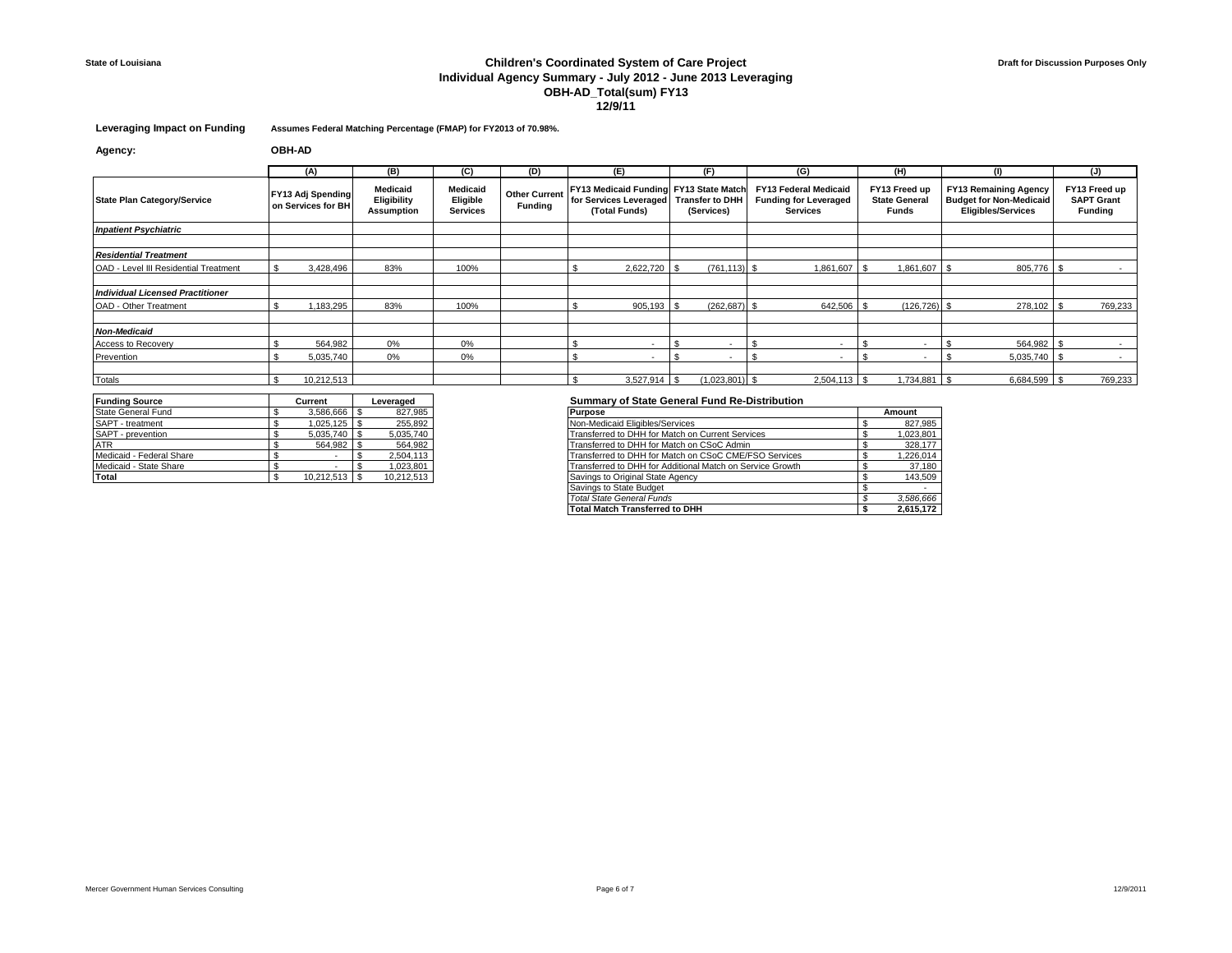# **State of Louisiana Children's Coordinated System of Care Project Individual Agency Summary - July 2012 - June 2013 Leveraging OBH-AD\_Total(sum) FY13 12/9/11**

**Leveraging Impact on Funding Assumes Federal Matching Percentage (FMAP) for FY2013 of 70.98%.**

**Agency: OBH-AD**

|                                         | (A)                                            | (B)                                          | (C)                                     | (D)                                    | (E)                      | (F)                                                                                                                                                                               | (G)            | (H)                                            | $\mathbf{u}$                                                                                | (J)                                                  |  |
|-----------------------------------------|------------------------------------------------|----------------------------------------------|-----------------------------------------|----------------------------------------|--------------------------|-----------------------------------------------------------------------------------------------------------------------------------------------------------------------------------|----------------|------------------------------------------------|---------------------------------------------------------------------------------------------|------------------------------------------------------|--|
| <b>State Plan Category/Service</b>      | <b>FY13 Adj Spending</b><br>on Services for BH | Medicaid<br>Eligibility<br><b>Assumption</b> | Medicaid<br>Eligible<br><b>Services</b> | <b>Other Current</b><br><b>Funding</b> | (Total Funds)            | FY13 Medicaid Funding FY13 State Match<br><b>FY13 Federal Medicaid</b><br>for Services Leveraged Transfer to DHH<br><b>Funding for Leveraged</b><br>(Services)<br><b>Services</b> |                | FY13 Freed up<br><b>State General</b><br>Funds | <b>FY13 Remaining Agency</b><br><b>Budget for Non-Medicaid</b><br><b>Eligibles/Services</b> | FY13 Freed up<br><b>SAPT Grant</b><br><b>Funding</b> |  |
| <b>Inpatient Psychiatric</b>            |                                                |                                              |                                         |                                        |                          |                                                                                                                                                                                   |                |                                                |                                                                                             |                                                      |  |
|                                         |                                                |                                              |                                         |                                        |                          |                                                                                                                                                                                   |                |                                                |                                                                                             |                                                      |  |
| <b>Residential Treatment</b>            |                                                |                                              |                                         |                                        |                          |                                                                                                                                                                                   |                |                                                |                                                                                             |                                                      |  |
| OAD - Level III Residential Treatment   | 3,428,496                                      | 83%                                          | 100%                                    |                                        | 2,622,720 \$             | $(761.113)$ \$                                                                                                                                                                    | 1,861,607      | 1,861,607                                      | 805,776                                                                                     |                                                      |  |
|                                         |                                                |                                              |                                         |                                        |                          |                                                                                                                                                                                   |                |                                                |                                                                                             |                                                      |  |
| <b>Individual Licensed Practitioner</b> |                                                |                                              |                                         |                                        |                          |                                                                                                                                                                                   |                |                                                |                                                                                             |                                                      |  |
| OAD - Other Treatment                   | 1,183,295                                      | 83%                                          | 100%                                    |                                        | $905,193$ \$             | $(262, 687)$ \$                                                                                                                                                                   | 642,506 \$     | $(126, 726)$ \$                                | 278,102                                                                                     | 769,233                                              |  |
|                                         |                                                |                                              |                                         |                                        |                          |                                                                                                                                                                                   |                |                                                |                                                                                             |                                                      |  |
| <b>Non-Medicaid</b>                     |                                                |                                              |                                         |                                        |                          |                                                                                                                                                                                   |                |                                                |                                                                                             |                                                      |  |
| Access to Recovery                      | 564.982                                        | 0%                                           | 0%                                      |                                        |                          |                                                                                                                                                                                   |                |                                                | 564,982                                                                                     |                                                      |  |
| Prevention                              | 5,035,740                                      | 0%                                           | 0%                                      |                                        | $\overline{\phantom{a}}$ | $\overline{a}$                                                                                                                                                                    |                | $\sim$                                         | 5,035,740                                                                                   | $\sim$                                               |  |
|                                         |                                                |                                              |                                         |                                        |                          |                                                                                                                                                                                   |                |                                                |                                                                                             |                                                      |  |
| Totals                                  | 10,212,513                                     |                                              |                                         |                                        | $3,527,914$ \$           | $(1,023,801)$ \$                                                                                                                                                                  | $2,504,113$ \$ | 1,734,881                                      | 6,684,599                                                                                   | 769,233                                              |  |

| <b>Funding Source</b>    | Current    | Leveraged  |
|--------------------------|------------|------------|
| State General Fund       | 3,586,666  | 827,985    |
| SAPT - treatment         | 1.025.125  | 255.892    |
| SAPT - prevention        | 5,035,740  | 5,035,740  |
| <b>ATR</b>               | 564.982    | 564.982    |
| Medicaid - Federal Share |            | 2,504,113  |
| Medicaid - State Share   |            | 1.023.801  |
| Total                    | 10.212.513 | 10,212,513 |

#### **Summary of State General Fund Re-Distribution**

| State General Fund       | 3.586.666 \$    | 827,985    | <b>Purpose</b>                                            | Amount    |
|--------------------------|-----------------|------------|-----------------------------------------------------------|-----------|
| SAPT - treatment         |                 | 255,892    | Non-Medicaid Eligibles/Services                           | 827,985   |
| SAPT - prevention        | $5.035.740$ S   | 5,035,740  | Transferred to DHH for Match on Current Services          | 1,023,801 |
| ATR                      | 564.982 \$      | 564,982    | Transferred to DHH for Match on CSoC Admin                | 328,177   |
| Medicaid - Federal Share |                 | 2,504,113  | Transferred to DHH for Match on CSoC CME/FSO Services     | 1,226,014 |
| Medicaid - State Share   |                 | 1,023,801  | Transferred to DHH for Additional Match on Service Growth | 37,180    |
| Total                    | $10,212,513$ \$ | 10,212,513 | Savings to Original State Agency                          | 143,509   |
|                          |                 |            | Savings to State Budget                                   |           |
|                          |                 |            | Total State General Funds                                 | 3,586,666 |
|                          |                 |            | <b>Total Match Transferred to DHH</b>                     | 2.615.172 |